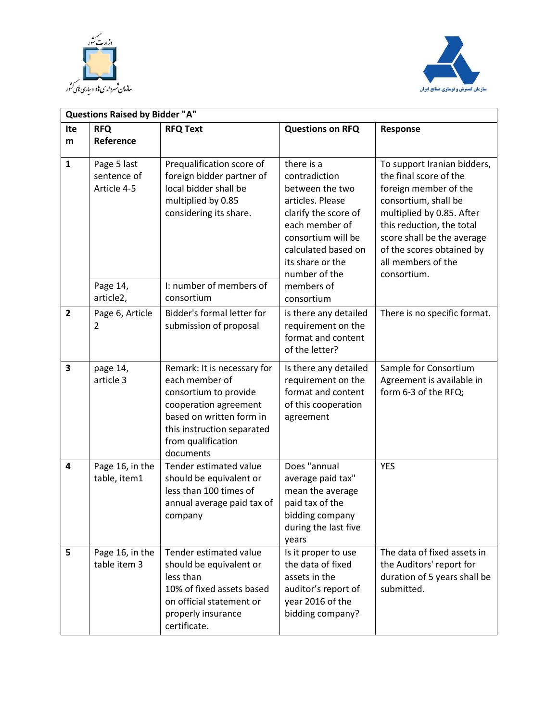



|                         | <b>Questions Raised by Bidder "A"</b>                                                                                                                                                                                                                                                                                                  |                                                                                                                                                                                              |                                                                                                                                                                                                                                                                  |                                                                                                       |  |
|-------------------------|----------------------------------------------------------------------------------------------------------------------------------------------------------------------------------------------------------------------------------------------------------------------------------------------------------------------------------------|----------------------------------------------------------------------------------------------------------------------------------------------------------------------------------------------|------------------------------------------------------------------------------------------------------------------------------------------------------------------------------------------------------------------------------------------------------------------|-------------------------------------------------------------------------------------------------------|--|
| Ite                     | <b>RFQ</b>                                                                                                                                                                                                                                                                                                                             | <b>RFQ Text</b>                                                                                                                                                                              | <b>Questions on RFQ</b>                                                                                                                                                                                                                                          | Response                                                                                              |  |
| m                       | Reference                                                                                                                                                                                                                                                                                                                              |                                                                                                                                                                                              |                                                                                                                                                                                                                                                                  |                                                                                                       |  |
| $\mathbf{1}$            | Prequalification score of<br>there is a<br>Page 5 last<br>sentence of<br>foreign bidder partner of<br>contradiction<br>local bidder shall be<br>Article 4-5<br>between the two<br>multiplied by 0.85<br>articles. Please<br>considering its share.<br>clarify the score of<br>each member of<br>consortium will be<br>its share or the | calculated based on<br>number of the                                                                                                                                                         | To support Iranian bidders,<br>the final score of the<br>foreign member of the<br>consortium, shall be<br>multiplied by 0.85. After<br>this reduction, the total<br>score shall be the average<br>of the scores obtained by<br>all members of the<br>consortium. |                                                                                                       |  |
|                         | Page 14,<br>article2,                                                                                                                                                                                                                                                                                                                  | I: number of members of<br>consortium                                                                                                                                                        | members of<br>consortium                                                                                                                                                                                                                                         |                                                                                                       |  |
| $\overline{2}$          | Page 6, Article<br>2                                                                                                                                                                                                                                                                                                                   | Bidder's formal letter for<br>submission of proposal                                                                                                                                         | is there any detailed<br>requirement on the<br>format and content<br>of the letter?                                                                                                                                                                              | There is no specific format.                                                                          |  |
| $\overline{\mathbf{3}}$ | page 14,<br>article 3                                                                                                                                                                                                                                                                                                                  | Remark: It is necessary for<br>each member of<br>consortium to provide<br>cooperation agreement<br>based on written form in<br>this instruction separated<br>from qualification<br>documents | Is there any detailed<br>requirement on the<br>format and content<br>of this cooperation<br>agreement                                                                                                                                                            | Sample for Consortium<br>Agreement is available in<br>form 6-3 of the RFQ;                            |  |
| 4                       | Page 16, in the<br>table, item1                                                                                                                                                                                                                                                                                                        | Tender estimated value<br>should be equivalent or<br>less than 100 times of<br>annual average paid tax of<br>company                                                                         | Does "annual<br>average paid tax"<br>mean the average<br>paid tax of the<br>bidding company<br>during the last five<br>years                                                                                                                                     | <b>YES</b>                                                                                            |  |
| 5                       | Page 16, in the<br>table item 3                                                                                                                                                                                                                                                                                                        | Tender estimated value<br>should be equivalent or<br>less than<br>10% of fixed assets based<br>on official statement or<br>properly insurance<br>certificate.                                | Is it proper to use<br>the data of fixed<br>assets in the<br>auditor's report of<br>year 2016 of the<br>bidding company?                                                                                                                                         | The data of fixed assets in<br>the Auditors' report for<br>duration of 5 years shall be<br>submitted. |  |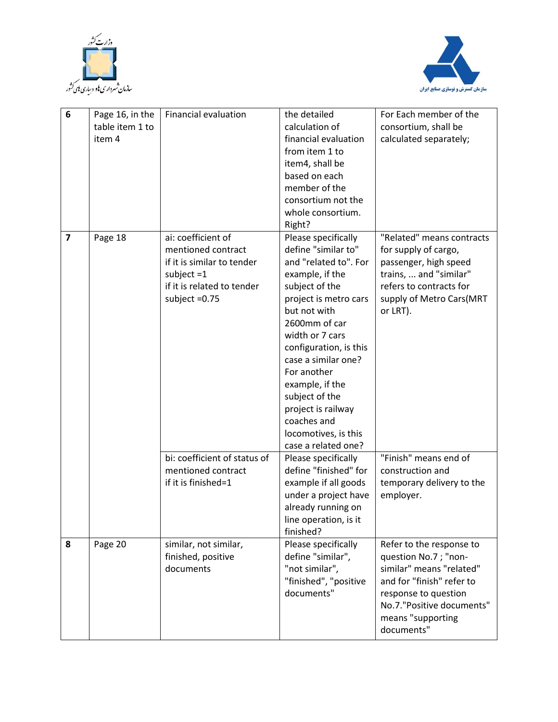



| 6              |                 | <b>Financial evaluation</b>     | the detailed                       | For Each member of the                           |
|----------------|-----------------|---------------------------------|------------------------------------|--------------------------------------------------|
|                | Page 16, in the |                                 |                                    |                                                  |
|                | table item 1 to |                                 | calculation of                     | consortium, shall be                             |
|                | item 4          |                                 | financial evaluation               | calculated separately;                           |
|                |                 |                                 | from item 1 to                     |                                                  |
|                |                 |                                 | item4, shall be                    |                                                  |
|                |                 |                                 | based on each                      |                                                  |
|                |                 |                                 | member of the                      |                                                  |
|                |                 |                                 | consortium not the                 |                                                  |
|                |                 |                                 | whole consortium.                  |                                                  |
|                |                 |                                 | Right?                             |                                                  |
| $\overline{7}$ | Page 18         | ai: coefficient of              | Please specifically                | "Related" means contracts                        |
|                |                 | mentioned contract              | define "similar to"                | for supply of cargo,                             |
|                |                 | if it is similar to tender      | and "related to". For              | passenger, high speed                            |
|                |                 | subject $=1$                    | example, if the                    | trains,  and "similar"                           |
|                |                 | if it is related to tender      | subject of the                     | refers to contracts for                          |
|                |                 | subject $=0.75$                 | project is metro cars              | supply of Metro Cars(MRT                         |
|                |                 |                                 | but not with                       | or LRT).                                         |
|                |                 |                                 | 2600mm of car                      |                                                  |
|                |                 |                                 | width or 7 cars                    |                                                  |
|                |                 |                                 | configuration, is this             |                                                  |
|                |                 |                                 | case a similar one?                |                                                  |
|                |                 |                                 | For another                        |                                                  |
|                |                 |                                 | example, if the                    |                                                  |
|                |                 |                                 | subject of the                     |                                                  |
|                |                 |                                 | project is railway                 |                                                  |
|                |                 |                                 | coaches and                        |                                                  |
|                |                 |                                 | locomotives, is this               |                                                  |
|                |                 |                                 | case a related one?                |                                                  |
|                |                 | bi: coefficient of status of    | Please specifically                | "Finish" means end of                            |
|                |                 | mentioned contract              | define "finished" for              | construction and                                 |
|                |                 | if it is finished=1             | example if all goods               | temporary delivery to the                        |
|                |                 |                                 | under a project have               | employer.                                        |
|                |                 |                                 | already running on                 |                                                  |
|                |                 |                                 |                                    |                                                  |
|                |                 |                                 | line operation, is it<br>finished? |                                                  |
| 8              | Page 20         | similar, not similar,           | Please specifically                | Refer to the response to                         |
|                |                 |                                 | define "similar",                  |                                                  |
|                |                 | finished, positive<br>documents | "not similar",                     | question No.7; "non-<br>similar" means "related" |
|                |                 |                                 |                                    |                                                  |
|                |                 |                                 | "finished", "positive              | and for "finish" refer to                        |
|                |                 |                                 | documents"                         | response to question                             |
|                |                 |                                 |                                    | No.7."Positive documents"                        |
|                |                 |                                 |                                    | means "supporting                                |
|                |                 |                                 |                                    | documents"                                       |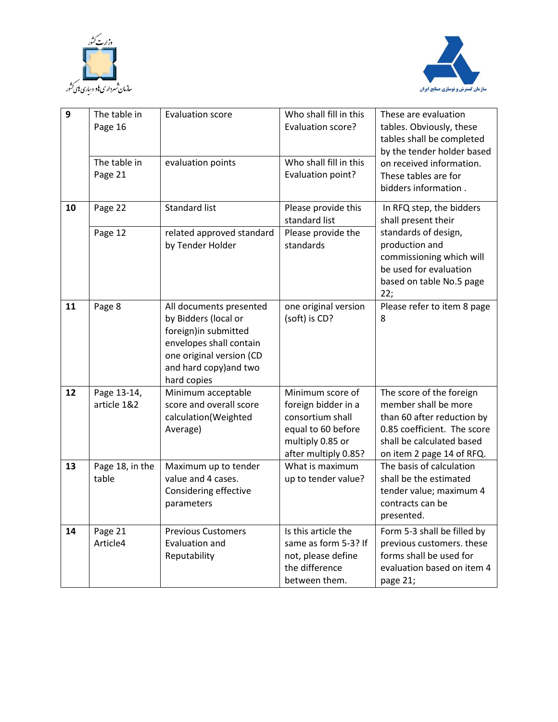



| $\mathbf{9}$ | The table in<br>Page 16    | <b>Evaluation score</b>                                                                                                                                                  | Who shall fill in this<br>Evaluation score?                                                                                   | These are evaluation<br>tables. Obviously, these<br>tables shall be completed<br>by the tender holder based                                                             |
|--------------|----------------------------|--------------------------------------------------------------------------------------------------------------------------------------------------------------------------|-------------------------------------------------------------------------------------------------------------------------------|-------------------------------------------------------------------------------------------------------------------------------------------------------------------------|
|              | The table in<br>Page 21    | evaluation points                                                                                                                                                        | Who shall fill in this<br>Evaluation point?                                                                                   | on received information.<br>These tables are for<br>bidders information.                                                                                                |
| 10           | Page 22                    | <b>Standard list</b>                                                                                                                                                     | Please provide this<br>standard list                                                                                          | In RFQ step, the bidders<br>shall present their                                                                                                                         |
|              | Page 12                    | related approved standard<br>by Tender Holder                                                                                                                            | Please provide the<br>standards                                                                                               | standards of design,<br>production and<br>commissioning which will<br>be used for evaluation<br>based on table No.5 page<br>22;                                         |
| 11           | Page 8                     | All documents presented<br>by Bidders (local or<br>foreign) in submitted<br>envelopes shall contain<br>one original version (CD<br>and hard copy) and two<br>hard copies | one original version<br>(soft) is CD?                                                                                         | Please refer to item 8 page<br>8                                                                                                                                        |
| 12           | Page 13-14,<br>article 1&2 | Minimum acceptable<br>score and overall score<br>calculation(Weighted<br>Average)                                                                                        | Minimum score of<br>foreign bidder in a<br>consortium shall<br>equal to 60 before<br>multiply 0.85 or<br>after multiply 0.85? | The score of the foreign<br>member shall be more<br>than 60 after reduction by<br>0.85 coefficient. The score<br>shall be calculated based<br>on item 2 page 14 of RFQ. |
| 13           | Page 18, in the<br>table   | Maximum up to tender<br>value and 4 cases.<br>Considering effective<br>parameters                                                                                        | What is maximum<br>up to tender value?                                                                                        | The basis of calculation<br>shall be the estimated<br>tender value; maximum 4<br>contracts can be<br>presented.                                                         |
| 14           | Page 21<br>Article4        | <b>Previous Customers</b><br>Evaluation and<br>Reputability                                                                                                              | Is this article the<br>same as form 5-3? If<br>not, please define<br>the difference<br>between them.                          | Form 5-3 shall be filled by<br>previous customers. these<br>forms shall be used for<br>evaluation based on item 4<br>page 21;                                           |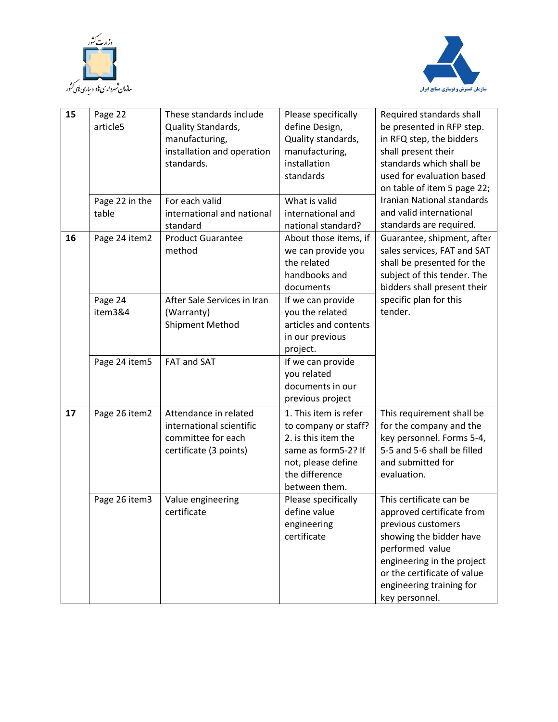



| 15 | Page 22        | These standards include     | Please specifically   | Required standards shall    |
|----|----------------|-----------------------------|-----------------------|-----------------------------|
|    | article5       | Quality Standards,          | define Design,        | be presented in RFP step.   |
|    |                | manufacturing,              | Quality standards,    | in RFQ step, the bidders    |
|    |                | installation and operation  | manufacturing,        | shall present their         |
|    |                | standards.                  | installation          | standards which shall be    |
|    |                |                             | standards             | used for evaluation based   |
|    |                |                             |                       | on table of item 5 page 22; |
|    | Page 22 in the | For each valid              | What is valid         | Iranian National standards  |
|    | table          | international and national  | international and     | and valid international     |
|    |                | standard                    | national standard?    | standards are required.     |
| 16 | Page 24 item2  | <b>Product Guarantee</b>    | About those items, if | Guarantee, shipment, after  |
|    |                | method                      | we can provide you    | sales services, FAT and SAT |
|    |                |                             | the related           | shall be presented for the  |
|    |                |                             | handbooks and         | subject of this tender. The |
|    |                |                             | documents             | bidders shall present their |
|    | Page 24        | After Sale Services in Iran | If we can provide     | specific plan for this      |
|    | item3&4        | (Warranty)                  | you the related       | tender.                     |
|    |                | <b>Shipment Method</b>      | articles and contents |                             |
|    |                |                             | in our previous       |                             |
|    |                |                             | project.              |                             |
|    | Page 24 item5  | FAT and SAT                 | If we can provide     |                             |
|    |                |                             | you related           |                             |
|    |                |                             | documents in our      |                             |
|    |                |                             | previous project      |                             |
| 17 | Page 26 item2  | Attendance in related       | 1. This item is refer | This requirement shall be   |
|    |                | international scientific    | to company or staff?  | for the company and the     |
|    |                | committee for each          | 2. is this item the   | key personnel. Forms 5-4,   |
|    |                | certificate (3 points)      | same as form5-2? If   | 5-5 and 5-6 shall be filled |
|    |                |                             | not, please define    | and submitted for           |
|    |                |                             | the difference        | evaluation.                 |
|    |                |                             | between them.         |                             |
|    | Page 26 item3  | Value engineering           | Please specifically   | This certificate can be     |
|    |                | certificate                 | define value          | approved certificate from   |
|    |                |                             | engineering           | previous customers          |
|    |                |                             | certificate           | showing the bidder have     |
|    |                |                             |                       | performed value             |
|    |                |                             |                       | engineering in the project  |
|    |                |                             |                       | or the certificate of value |
|    |                |                             |                       | engineering training for    |
|    |                |                             |                       | key personnel.              |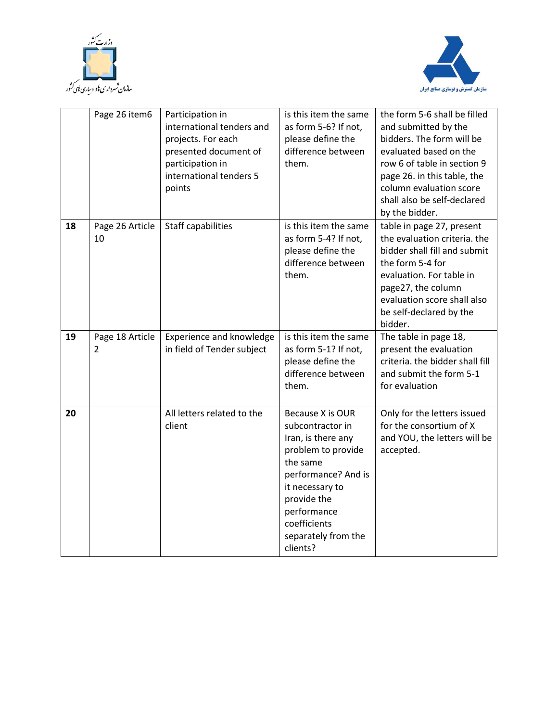



|    | Page 26 item6         | Participation in<br>international tenders and<br>projects. For each<br>presented document of<br>participation in<br>international tenders 5<br>points | is this item the same<br>as form 5-6? If not,<br>please define the<br>difference between<br>them.                                                                                                                       | the form 5-6 shall be filled<br>and submitted by the<br>bidders. The form will be<br>evaluated based on the<br>row 6 of table in section 9<br>page 26. in this table, the<br>column evaluation score<br>shall also be self-declared<br>by the bidder. |
|----|-----------------------|-------------------------------------------------------------------------------------------------------------------------------------------------------|-------------------------------------------------------------------------------------------------------------------------------------------------------------------------------------------------------------------------|-------------------------------------------------------------------------------------------------------------------------------------------------------------------------------------------------------------------------------------------------------|
| 18 | Page 26 Article<br>10 | <b>Staff capabilities</b>                                                                                                                             | is this item the same<br>as form 5-4? If not,<br>please define the<br>difference between<br>them.                                                                                                                       | table in page 27, present<br>the evaluation criteria. the<br>bidder shall fill and submit<br>the form 5-4 for<br>evaluation. For table in<br>page27, the column<br>evaluation score shall also<br>be self-declared by the<br>bidder.                  |
| 19 | Page 18 Article<br>2  | Experience and knowledge<br>in field of Tender subject                                                                                                | is this item the same<br>as form 5-1? If not,<br>please define the<br>difference between<br>them.                                                                                                                       | The table in page 18,<br>present the evaluation<br>criteria. the bidder shall fill<br>and submit the form 5-1<br>for evaluation                                                                                                                       |
| 20 |                       | All letters related to the<br>client                                                                                                                  | Because X is OUR<br>subcontractor in<br>Iran, is there any<br>problem to provide<br>the same<br>performance? And is<br>it necessary to<br>provide the<br>performance<br>coefficients<br>separately from the<br>clients? | Only for the letters issued<br>for the consortium of X<br>and YOU, the letters will be<br>accepted.                                                                                                                                                   |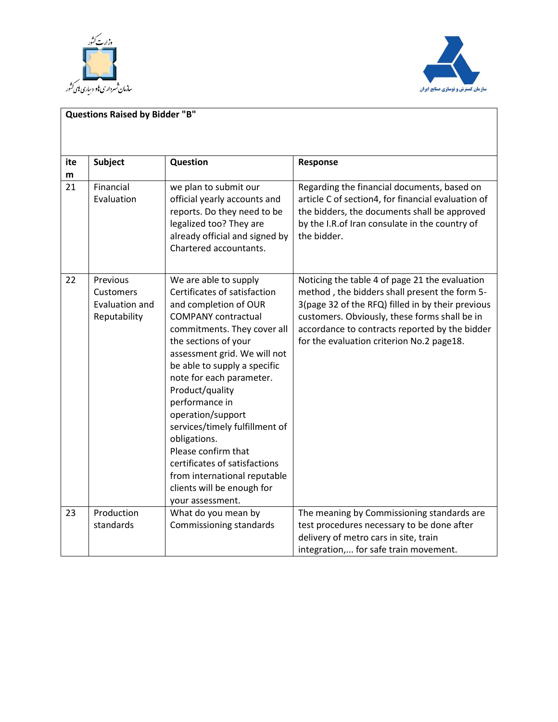



| <b>Questions Raised by Bidder "B"</b> |                                                         |                                                                                                                                                                                                                                                                                                                                                                                                                                                                                                                       |                                                                                                                                                                                                                                                                                                      |  |
|---------------------------------------|---------------------------------------------------------|-----------------------------------------------------------------------------------------------------------------------------------------------------------------------------------------------------------------------------------------------------------------------------------------------------------------------------------------------------------------------------------------------------------------------------------------------------------------------------------------------------------------------|------------------------------------------------------------------------------------------------------------------------------------------------------------------------------------------------------------------------------------------------------------------------------------------------------|--|
| ite<br>m                              | <b>Subject</b>                                          | Question                                                                                                                                                                                                                                                                                                                                                                                                                                                                                                              | Response                                                                                                                                                                                                                                                                                             |  |
| 21                                    | Financial<br>Evaluation                                 | we plan to submit our<br>official yearly accounts and<br>reports. Do they need to be<br>legalized too? They are<br>already official and signed by<br>Chartered accountants.                                                                                                                                                                                                                                                                                                                                           | Regarding the financial documents, based on<br>article C of section4, for financial evaluation of<br>the bidders, the documents shall be approved<br>by the I.R. of Iran consulate in the country of<br>the bidder.                                                                                  |  |
| 22                                    | Previous<br>Customers<br>Evaluation and<br>Reputability | We are able to supply<br>Certificates of satisfaction<br>and completion of OUR<br><b>COMPANY</b> contractual<br>commitments. They cover all<br>the sections of your<br>assessment grid. We will not<br>be able to supply a specific<br>note for each parameter.<br>Product/quality<br>performance in<br>operation/support<br>services/timely fulfillment of<br>obligations.<br>Please confirm that<br>certificates of satisfactions<br>from international reputable<br>clients will be enough for<br>your assessment. | Noticing the table 4 of page 21 the evaluation<br>method, the bidders shall present the form 5-<br>3(page 32 of the RFQ) filled in by their previous<br>customers. Obviously, these forms shall be in<br>accordance to contracts reported by the bidder<br>for the evaluation criterion No.2 page18. |  |
| 23                                    | Production<br>standards                                 | What do you mean by<br>Commissioning standards                                                                                                                                                                                                                                                                                                                                                                                                                                                                        | The meaning by Commissioning standards are<br>test procedures necessary to be done after<br>delivery of metro cars in site, train<br>integration, for safe train movement.                                                                                                                           |  |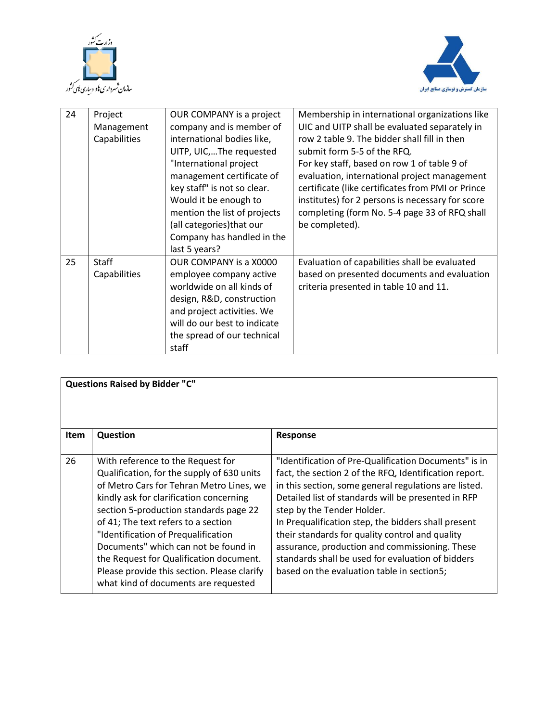



| 24 | Project<br>Management<br>Capabilities | OUR COMPANY is a project<br>company and is member of<br>international bodies like,<br>UITP, UIC,The requested<br>"International project<br>management certificate of<br>key staff" is not so clear.<br>Would it be enough to<br>mention the list of projects<br>(all categories) that our<br>Company has handled in the<br>last 5 years? | Membership in international organizations like<br>UIC and UITP shall be evaluated separately in<br>row 2 table 9. The bidder shall fill in then<br>submit form 5-5 of the RFQ.<br>For key staff, based on row 1 of table 9 of<br>evaluation, international project management<br>certificate (like certificates from PMI or Prince<br>institutes) for 2 persons is necessary for score<br>completing (form No. 5-4 page 33 of RFQ shall<br>be completed). |
|----|---------------------------------------|------------------------------------------------------------------------------------------------------------------------------------------------------------------------------------------------------------------------------------------------------------------------------------------------------------------------------------------|-----------------------------------------------------------------------------------------------------------------------------------------------------------------------------------------------------------------------------------------------------------------------------------------------------------------------------------------------------------------------------------------------------------------------------------------------------------|
| 25 | <b>Staff</b><br>Capabilities          | OUR COMPANY is a X0000<br>employee company active<br>worldwide on all kinds of<br>design, R&D, construction<br>and project activities. We<br>will do our best to indicate<br>the spread of our technical<br>staff                                                                                                                        | Evaluation of capabilities shall be evaluated<br>based on presented documents and evaluation<br>criteria presented in table 10 and 11.                                                                                                                                                                                                                                                                                                                    |

| <b>Questions Raised by Bidder "C"</b> |                                                                                                                                                                                                                                                                                                                                                                                                                                                                          |                                                                                                                                                                                                                                                                                                                                                                                                                                                                                                                              |  |  |
|---------------------------------------|--------------------------------------------------------------------------------------------------------------------------------------------------------------------------------------------------------------------------------------------------------------------------------------------------------------------------------------------------------------------------------------------------------------------------------------------------------------------------|------------------------------------------------------------------------------------------------------------------------------------------------------------------------------------------------------------------------------------------------------------------------------------------------------------------------------------------------------------------------------------------------------------------------------------------------------------------------------------------------------------------------------|--|--|
| <b>Item</b>                           | Question                                                                                                                                                                                                                                                                                                                                                                                                                                                                 | Response                                                                                                                                                                                                                                                                                                                                                                                                                                                                                                                     |  |  |
| 26                                    | With reference to the Request for<br>Qualification, for the supply of 630 units<br>of Metro Cars for Tehran Metro Lines, we<br>kindly ask for clarification concerning<br>section 5-production standards page 22<br>of 41; The text refers to a section<br>"Identification of Prequalification<br>Documents" which can not be found in<br>the Request for Qualification document.<br>Please provide this section. Please clarify<br>what kind of documents are requested | "Identification of Pre-Qualification Documents" is in<br>fact, the section 2 of the RFQ, Identification report.<br>in this section, some general regulations are listed.<br>Detailed list of standards will be presented in RFP<br>step by the Tender Holder.<br>In Prequalification step, the bidders shall present<br>their standards for quality control and quality<br>assurance, production and commissioning. These<br>standards shall be used for evaluation of bidders<br>based on the evaluation table in section5; |  |  |